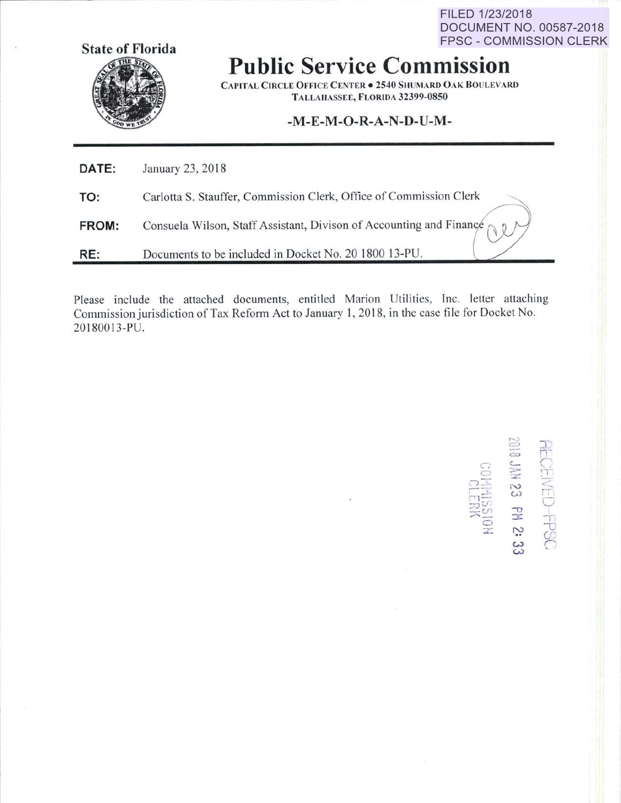FILED 1/23/2018 DOCUMENT NO. 00587-2018 **FPSC - COMMISSION CLERK** 



## **Public Service Commission**

**CAPITAL CIRCLE OFFICE CENTER . 2540 SHUMARD OAK BOULEVARD** TALLAHASSEE, FLORIDA 32399-0850

## -M-E-M-O-R-A-N-D-U-M-

| DATE: | January 23, 2018                                                             |
|-------|------------------------------------------------------------------------------|
| TO:   | Carlotta S. Stauffer, Commission Clerk, Office of Commission Clerk           |
| FROM: | Consuela Wilson, Staff Assistant, Divison of Accounting and Finance $\sim 0$ |
| RE:   | Documents to be included in Docket No. 20 1800 13-PU.                        |

Please include the attached documents, entitled Marion Utilities, Inc. letter attaching Commission jurisdiction of Tax Reform Act to January 1, 2018, in the case file for Docket No. 20180013-PU.

**FECEIVED-FPSC**<br>2018 JAN 23 PM 2: 33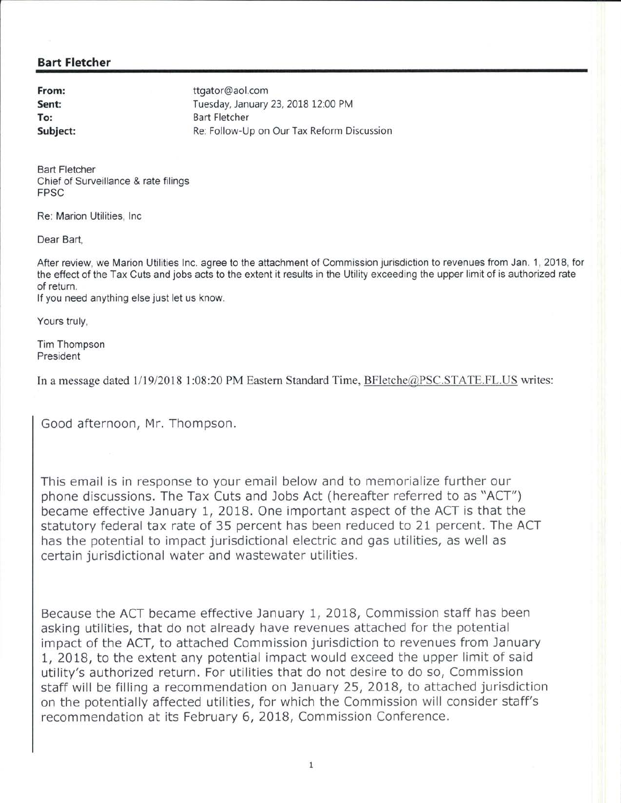## **Bart Fletcher**

**From: Sent: To: Subject:**  ttgator@aol.com Tuesday, January 23, 2018 12:00 PM Bart Fletcher Re: Follow-Up on Our Tax Reform Discussion

Bart Fletcher Chief of Surveillance & rate filings FPSC

Re: Marion Utilities, Inc

Dear Bart,

After review, we Marion Utilities Inc. agree to the attachment of Commission jurisdiction to revenues from Jan. 1, 2018, for the effect of the Tax Cuts and jobs acts to the extent it results in the Utility exceeding the upper limit of is authorized rate of return.

If you need anything else just let us know.

Yours truly,

Tim Thompson President

In a message dated  $1/19/2018$  1:08:20 PM Eastern Standard Time, BFletche@PSC.STATE.FL.US writes:

Good afternoon, Mr. Thompson.

This email is in response to your email below and to memorialize further our phone discussions. The Tax Cuts and Jobs Act (hereafter referred to as "ACT") became effective January 1, 2018. One important aspect of the ACT is that the statutory federal tax rate of 35 percent has been reduced to 21 percent. The ACT has the potential to impact jurisdictional electric and gas utilities, as well as certain jurisdictional water and wastewater utilities.

Because the ACT became effective January 1, 2018, Commission staff has been asking utilities, that do not already have revenues attached for the potential impact of the ACT, to attached Commission jurisdiction to revenues from January 1, 2018, to the extent any potential impact would exceed the upper limit of said utility's authorized return. For utilities that do not desire to do so, Commission staff will be filling a recommendation on January 25, 2018, to attached jurisdiction on the potentially affected utilities, for which the Commission will consider staff's recommendation at its February 6, 2018, Commission Conference.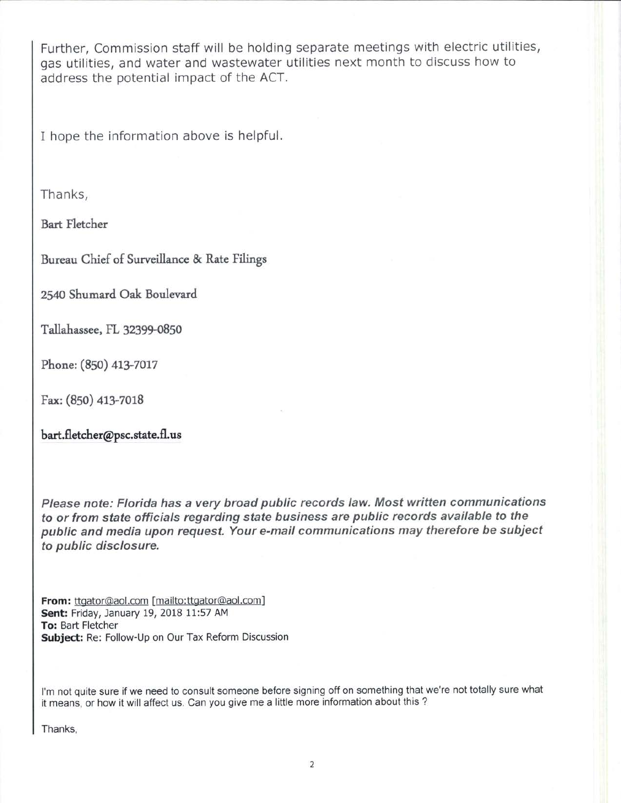Further, Commission staff will be holding separate meetings with electric utilities, gas utilities, and water and wastewater utilities next month to discuss how to address the potential impact of the ACT.

I hope the information above is helpful.

Thanks,

Bart Fletcher

Bureau Chief of Surveillance & Rate Filings

2540 Shumard Oak Boulevard

Tallahassee, FL 32399-0850

Phone: (850) 413-7017

Fax: (850) 413-7018

bart.fletcher@psc.state.fl.us

Please note: Florida has a very broad public records law. Most written communications to or from state officials regarding state business are public records available to the public and media upon request. Your e-mail communications may therefore be subject to public disclosure.

From: ttgator@aol.com [mailto:ttgator@aol.com] Sent: Friday, January 19, 2018 11:57 AM To: Bart Fletcher Subject: Re: Follow-Up on Our Tax Reform Discussion

I'm not quite sure if we need to consult someone before signing off on something that we're not totally sure what it means, or how it will affect us. Can you give me a little more information about this?

Thanks,